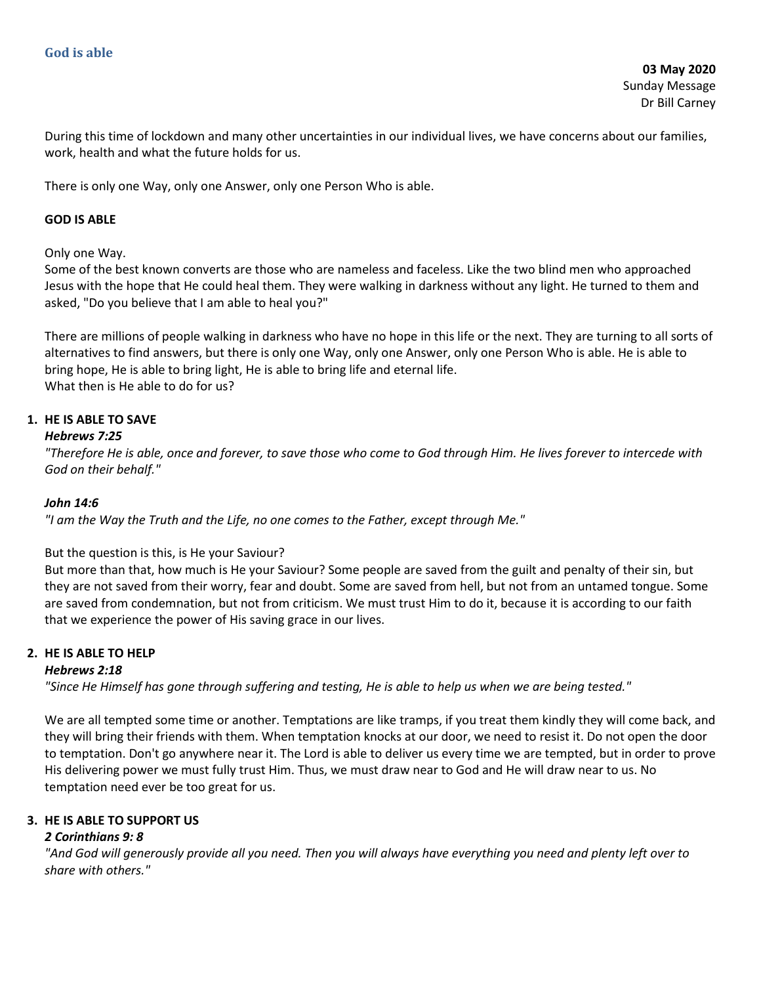During this time of lockdown and many other uncertainties in our individual lives, we have concerns about our families, work, health and what the future holds for us.

There is only one Way, only one Answer, only one Person Who is able.

## **GOD IS ABLE**

Only one Way.

Some of the best known converts are those who are nameless and faceless. Like the two blind men who approached Jesus with the hope that He could heal them. They were walking in darkness without any light. He turned to them and asked, "Do you believe that I am able to heal you?"

There are millions of people walking in darkness who have no hope in this life or the next. They are turning to all sorts of alternatives to find answers, but there is only one Way, only one Answer, only one Person Who is able. He is able to bring hope, He is able to bring light, He is able to bring life and eternal life. What then is He able to do for us?

## **1. HE IS ABLE TO SAVE**

#### *Hebrews 7:25*

*"Therefore He is able, once and forever, to save those who come to God through Him. He lives forever to intercede with God on their behalf."*

## *John 14:6*

*"I am the Way the Truth and the Life, no one comes to the Father, except through Me."*

## But the question is this, is He your Saviour?

But more than that, how much is He your Saviour? Some people are saved from the guilt and penalty of their sin, but they are not saved from their worry, fear and doubt. Some are saved from hell, but not from an untamed tongue. Some are saved from condemnation, but not from criticism. We must trust Him to do it, because it is according to our faith that we experience the power of His saving grace in our lives.

#### **2. HE IS ABLE TO HELP**

## *Hebrews 2:18*

*"Since He Himself has gone through suffering and testing, He is able to help us when we are being tested."*

We are all tempted some time or another. Temptations are like tramps, if you treat them kindly they will come back, and they will bring their friends with them. When temptation knocks at our door, we need to resist it. Do not open the door to temptation. Don't go anywhere near it. The Lord is able to deliver us every time we are tempted, but in order to prove His delivering power we must fully trust Him. Thus, we must draw near to God and He will draw near to us. No temptation need ever be too great for us.

### **3. HE IS ABLE TO SUPPORT US**

## *2 Corinthians 9: 8*

*"And God will generously provide all you need. Then you will always have everything you need and plenty left over to share with others."*